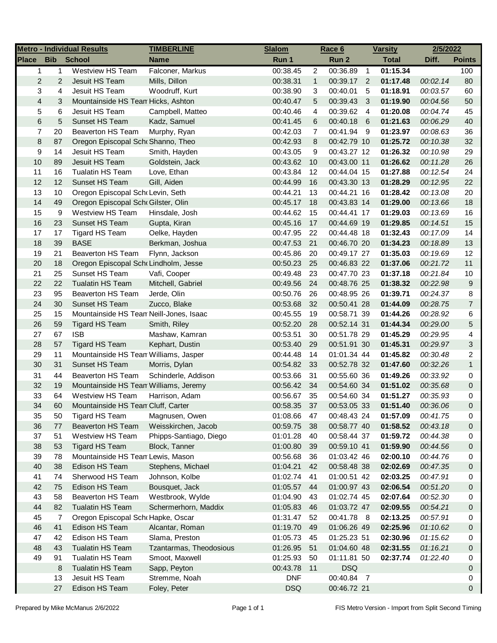| <b>Metro - Individual Results</b> |              |                                         | <b>TIMBERLINE</b>       | <b>Slalom</b> |                | Race 6      |                | <b>Varsity</b> | 2/5/2022 |                |
|-----------------------------------|--------------|-----------------------------------------|-------------------------|---------------|----------------|-------------|----------------|----------------|----------|----------------|
| <b>Place</b>                      | <b>Bib</b>   | <b>School</b>                           | <b>Name</b>             | Run 1         |                | Run 2       |                | <b>Total</b>   | Diff.    | <b>Points</b>  |
| $\mathbf{1}$                      | $\mathbf{1}$ | <b>Westview HS Team</b>                 | Falconer, Markus        | 00:38.45      | $\overline{2}$ | 00:36.89    | $\overline{1}$ | 01:15.34       |          | 100            |
| 2                                 | 2            | Jesuit HS Team                          | Mills, Dillon           | 00:38.31      | $\mathbf{1}$   | 00:39.17 2  |                | 01:17.48       | 00:02.14 | 80             |
| 3                                 | 4            | Jesuit HS Team                          | Woodruff, Kurt          | 00:38.90      | 3              | 00:40.01    | 5              | 01:18.91       | 00:03.57 | 60             |
| $\overline{\mathbf{4}}$           | 3            | Mountainside HS Tean Hicks, Ashton      |                         | 00:40.47      | 5              | 00:39.43    | 3              | 01:19.90       | 00:04.56 | 50             |
| 5                                 | 6            | Jesuit HS Team                          | Campbell, Matteo        | 00:40.46      | 4              | 00:39.62    | $\overline{4}$ | 01:20.08       | 00:04.74 | 45             |
| 6                                 | 5            | Sunset HS Team                          | Kadz, Samuel            | 00:41.45      | 6              | 00:40.18    | 6              | 01:21.63       | 00:06.29 | 40             |
| 7                                 | 20           | <b>Beaverton HS Team</b>                | Murphy, Ryan            | 00:42.03      | $\overline{7}$ | 00:41.94    | - 9            | 01:23.97       | 00:08.63 | 36             |
| 8                                 | 87           | Oregon Episcopal Sch Shanno, Theo       |                         | 00:42.93      | 8              | 00:42.79 10 |                | 01:25.72       | 00:10.38 | 32             |
| 9                                 | 14           | Jesuit HS Team                          | Smith, Hayden           | 00:43.05      | 9              | 00:43.27 12 |                | 01:26.32       | 00:10.98 | 29             |
| 10                                | 89           | Jesuit HS Team                          | Goldstein, Jack         | 00:43.62      | 10             | 00:43.00 11 |                | 01:26.62       | 00:11.28 | 26             |
| 11                                | 16           | <b>Tualatin HS Team</b>                 | Love, Ethan             | 00:43.84      | 12             | 00:44.04 15 |                | 01:27.88       | 00:12.54 | 24             |
| 12                                | 12           | Sunset HS Team                          | Gill, Aiden             | 00:44.99      | 16             | 00:43.30 13 |                | 01:28.29       | 00:12.95 | 22             |
| 13                                | $10$         | Oregon Episcopal Schr Levin, Seth       |                         | 00:44.21      | 13             | 00:44.21 16 |                | 01:28.42       | 00:13.08 | 20             |
| 14                                | 49           | Oregon Episcopal Scho Gilster, Olin     |                         | 00:45.17      | 18             | 00:43.83 14 |                | 01:29.00       | 00:13.66 | 18             |
| 15                                | 9            | Westview HS Team                        | Hinsdale, Josh          | 00:44.62      | 15             | 00:44.41 17 |                | 01:29.03       | 00:13.69 | 16             |
| 16                                | 23           | Sunset HS Team                          | Gupta, Kiran            | 00:45.16      | 17             | 00:44.69 19 |                | 01:29.85       | 00:14.51 | 15             |
| 17                                | 17           | Tigard HS Team                          | Oelke, Hayden           | 00:47.95      | 22             | 00:44.48 18 |                | 01:32.43       | 00:17.09 | 14             |
| 18                                | 39           | <b>BASE</b>                             | Berkman, Joshua         | 00:47.53      | 21             | 00:46.70 20 |                | 01:34.23       | 00:18.89 | 13             |
| 19                                | 21           | <b>Beaverton HS Team</b>                | Flynn, Jackson          | 00:45.86      | 20             | 00:49.17 27 |                | 01:35.03       | 00:19.69 | 12             |
| 20                                | 18           | Oregon Episcopal Sch Lindholm, Jesse    |                         | 00:50.23      | 25             | 00:46.83 22 |                | 01:37.06       | 00:21.72 | 11             |
| 21                                | 25           | Sunset HS Team                          | Vafi, Cooper            | 00:49.48      | 23             | 00:47.70 23 |                | 01:37.18       | 00:21.84 | 10             |
| 22                                | 22           | <b>Tualatin HS Team</b>                 | Mitchell, Gabriel       | 00:49.56      | 24             | 00:48.76 25 |                | 01:38.32       | 00:22.98 | 9              |
| 23                                | 95           | <b>Beaverton HS Team</b>                | Jerde, Olin             | 00:50.76      | 26             | 00:48.95 26 |                | 01:39.71       | 00:24.37 | 8              |
| 24                                | 30           | Sunset HS Team                          | Zucco, Blake            | 00:53.68      | 32             | 00:50.41 28 |                | 01:44.09       | 00:28.75 | $\overline{7}$ |
| 25                                | 15           | Mountainside HS Tean Neill-Jones, Isaac |                         | 00:45.55      | 19             | 00:58.71 39 |                | 01:44.26       | 00:28.92 | 6              |
| 26                                | 59           | Tigard HS Team                          | Smith, Riley            | 00:52.20      | 28             | 00:52.14 31 |                | 01:44.34       | 00:29.00 | 5              |
| 27                                | 67           | <b>ISB</b>                              | Mashaw, Kamran          | 00:53.51      | 30             | 00:51.78 29 |                | 01:45.29       | 00:29.95 | 4              |
| 28                                | 57           | <b>Tigard HS Team</b>                   | Kephart, Dustin         | 00:53.40      | 29             | 00:51.91 30 |                | 01:45.31       | 00:29.97 | 3              |
| 29                                | 11           | Mountainside HS Tean Williams, Jasper   |                         | 00:44.48      | 14             | 01:01.34 44 |                | 01:45.82       | 00:30.48 | 2              |
| 30                                | 31           | Sunset HS Team                          | Morris, Dylan           | 00:54.82      | 33             | 00:52.78 32 |                | 01:47.60       | 00:32.26 | $\mathbf{1}$   |
| 31                                | 44           | Beaverton HS Team                       | Schinderle, Addison     | 00:53.66      | 31             | 00:55.60 36 |                | 01:49.26       | 00:33.92 | 0              |
| 32                                | 19           | Mountainside HS Tean Williams, Jeremy   |                         | 00:56.42      | 34             | 00:54.60 34 |                | 01:51.02       | 00:35.68 | 0              |
| 33                                | 64           | Westview HS Team                        | Harrison, Adam          | 00:56.67      | 35             | 00:54.60 34 |                | 01:51.27       | 00:35.93 | 0              |
| 34                                | 60           | Mountainside HS Tean Cluff, Carter      |                         | 00:58.35      | 37             | 00:53.05 33 |                | 01:51.40       | 00:36.06 | $\Omega$       |
| 35                                | 50           | Tigard HS Team                          | Magnusen, Owen          | 01:08.66      | 47             | 00:48.43 24 |                | 01:57.09       | 00:41.75 | 0              |
| 36                                | 77           | <b>Beaverton HS Team</b>                | Weisskirchen, Jacob     | 00:59.75      | 38             | 00:58.77 40 |                | 01:58.52       | 00:43.18 | 0              |
| 37                                | 51           | <b>Westview HS Team</b>                 | Phipps-Santiago, Diego  | 01:01.28      | 40             | 00:58.44 37 |                | 01:59.72       | 00:44.38 | 0              |
| 38                                | 53           | <b>Tigard HS Team</b>                   | Block, Tanner           | 01:00.80      | 39             | 00:59.10 41 |                | 01:59.90       | 00:44.56 | 0              |
| 39                                | 78           | Mountainside HS Tean Lewis, Mason       |                         | 00:56.68      | 36             | 01:03.42 46 |                | 02:00.10       | 00:44.76 | 0              |
| 40                                | 38           | Edison HS Team                          | Stephens, Michael       | 01:04.21      | 42             | 00:58.48 38 |                | 02:02.69       | 00:47.35 | 0              |
| 41                                | 74           | Sherwood HS Team                        | Johnson, Kolbe          | 01:02.74      | 41             | 01:00.51 42 |                | 02:03.25       | 00:47.91 | 0              |
| 42                                | 75           | Edison HS Team                          | Bousquet, Jack          | 01:05.57      | 44             | 01:00.97 43 |                | 02:06.54       | 00:51.20 | 0              |
| 43                                | 58           | Beaverton HS Team                       | Westbrook, Wylde        | 01:04.90      | 43             | 01:02.74 45 |                | 02:07.64       | 00:52.30 | 0              |
| 44                                | 82           | <b>Tualatin HS Team</b>                 | Schermerhorn, Maddix    | 01:05.83      | 46             | 01:03.72 47 |                | 02:09.55       | 00:54.21 | 0              |
| 45                                | 7            | Oregon Episcopal Scho Hapke, Oscar      |                         | 01:31.47      | 52             | 00:41.78 8  |                | 02:13.25       | 00:57.91 | 0              |
| 46                                | 41           | Edison HS Team                          | Alcantar, Roman         | 01:19.70      | 49             | 01:06.26 49 |                | 02:25.96       | 01:10.62 | 0              |
| 47                                | 42           | Edison HS Team                          | Slama, Preston          | 01:05.73      | 45             | 01:25.23 51 |                | 02:30.96       | 01:15.62 | 0              |
| 48                                | 43           | <b>Tualatin HS Team</b>                 | Tzantarmas, Theodosious | 01:26.95      | 51             | 01:04.60 48 |                | 02:31.55       | 01:16.21 | 0              |
| 49                                | 91           | <b>Tualatin HS Team</b>                 | Smoot, Maxwell          | 01:25.93      | 50             | 01:11.81 50 |                | 02:37.74       | 01:22.40 | 0              |
|                                   | 8            | <b>Tualatin HS Team</b>                 | Sapp, Peyton            | 00:43.78      | 11             | <b>DSQ</b>  |                |                |          | 0              |
|                                   | 13           | Jesuit HS Team                          | Stremme, Noah           | <b>DNF</b>    |                | 00:40.84 7  |                |                |          | 0              |
|                                   | 27           | Edison HS Team                          | Foley, Peter            | <b>DSQ</b>    |                | 00:46.72 21 |                |                |          | 0              |